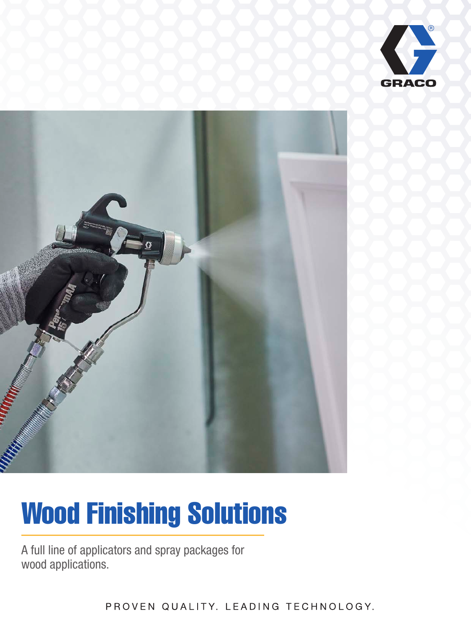



# Wood Finishing Solutions

A full line of applicators and spray packages for wood applications.

PROVEN QUALITY. LEADING TECHNOLOGY.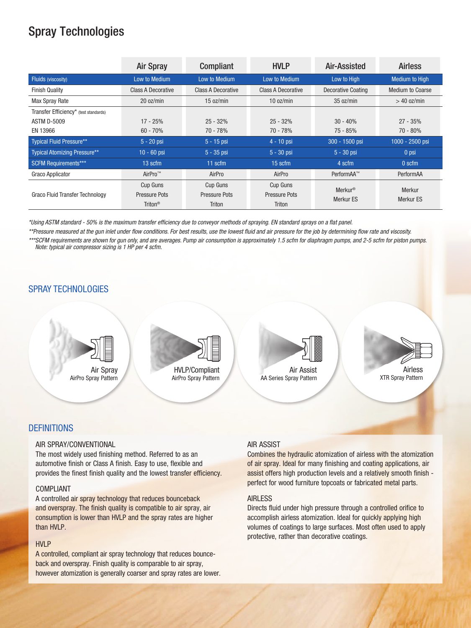# Spray Technologies

|                                       | <b>Air Spray</b>          | <b>Compliant</b>     | <b>HVLP</b>               | Air-Assisted              | <b>Airless</b>          |
|---------------------------------------|---------------------------|----------------------|---------------------------|---------------------------|-------------------------|
| Fluids (viscosity)                    | Low to Medium             | Low to Medium        | Low to Medium             | Low to High               | <b>Medium to High</b>   |
| <b>Finish Quality</b>                 | <b>Class A Decorative</b> | Class A Decorative   | <b>Class A Decorative</b> | <b>Decorative Coating</b> | <b>Medium to Coarse</b> |
| Max Spray Rate                        | 20 oz/min                 | 15 oz/min            | 10 oz/min                 | 35 oz/min                 | $>$ 40 oz/min           |
| Transfer Efficiency* (test standards) |                           |                      |                           |                           |                         |
| <b>ASTM D-5009</b>                    | $17 - 25%$                | $25 - 32%$           | $25 - 32%$                | $30 - 40%$                | $27 - 35%$              |
| EN 13966                              | $60 - 70%$                | 70 - 78%             | 70 - 78%                  | 75 - 85%                  | 70 - 80%                |
| <b>Typical Fluid Pressure**</b>       | $5 - 20$ psi              | $5 - 15$ psi         | $4 - 10$ psi              | 300 - 1500 psi            | 1000 - 2500 psi         |
| <b>Typical Atomizing Pressure**</b>   | $10 - 60$ psi             | $5 - 35$ psi         | $5 - 30$ psi              | $5 - 30$ psi              | 0 psi                   |
| <b>SCFM Requirements***</b>           | 13 scfm                   | $11$ scfm            | $15$ scfm                 | 4 scfm                    | 0 <sub>scfm</sub>       |
| <b>Graco Applicator</b>               | AirPro <sup>™</sup>       | AirPro               | AirPro                    | PerformAA™                | PerformAA               |
|                                       | Cup Guns                  | Cup Guns             | Cup Guns                  | <b>Merkur<sup>®</sup></b> | Merkur                  |
| Graco Fluid Transfer Technology       | Pressure Pots             | <b>Pressure Pots</b> | Pressure Pots             | Merkur ES                 | Merkur ES               |
|                                       | Triton <sup>®</sup>       | <b>Triton</b>        | <b>Triton</b>             |                           |                         |

*\*Using ASTM standard - 50% is the maximum transfer efficiency due to conveyor methods of spraying. EN standard sprays on a flat panel.*

*\*\*Pressure measured at the gun inlet under flow conditions. For best results, use the lowest fluid and air pressure for the job by determining flow rate and viscosity.* 

*\*\*\*SCFM requirements are shown for gun only, and are averages. Pump air consumption is approximately 1.5 scfm for diaphragm pumps, and 2-5 scfm for piston pumps. Note: typical air compressor sizing is 1 HP per 4 scfm.* 

#### SPRAY TECHNOLOGIES



#### **DEFINITIONS**

#### AIR SPRAY/CONVENTIONAL

The most widely used finishing method. Referred to as an automotive finish or Class A finish. Easy to use, flexible and provides the finest finish quality and the lowest transfer efficiency.

#### COMPLIANT

A controlled air spray technology that reduces bounceback and overspray. The finish quality is compatible to air spray, air consumption is lower than HVLP and the spray rates are higher than HVLP.

#### HVLP

A controlled, compliant air spray technology that reduces bounceback and overspray. Finish quality is comparable to air spray, however atomization is generally coarser and spray rates are lower.

#### AIR ASSIST

Combines the hydraulic atomization of airless with the atomization of air spray. Ideal for many finishing and coating applications, air assist offers high production levels and a relatively smooth finish perfect for wood furniture topcoats or fabricated metal parts.

Airless XTR Spray Pattern

#### AIRLESS

Directs fluid under high pressure through a controlled orifice to accomplish airless atomization. Ideal for quickly applying high volumes of coatings to large surfaces. Most often used to apply protective, rather than decorative coatings.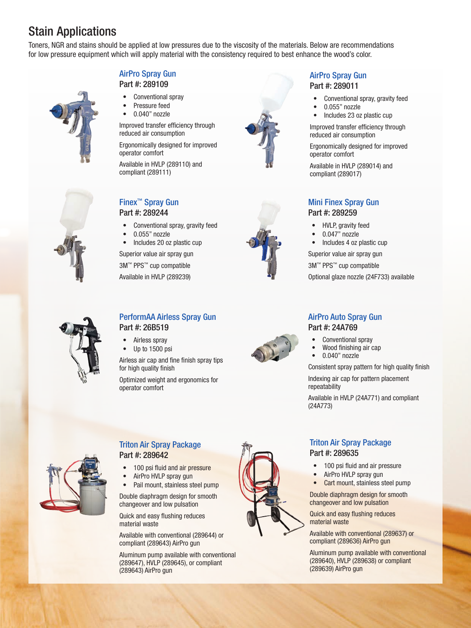# Stain Applications

Toners, NGR and stains should be applied at low pressures due to the viscosity of the materials. Below are recommendations for low pressure equipment which will apply material with the consistency required to best enhance the wood's color.

#### AirPro Spray Gun Part #: 289109

- Conventional spray
- Pressure feed 0.040" nozzle

Improved transfer efficiency through reduced air consumption

Ergonomically designed for improved operator comfort

Available in HVLP (289110) and compliant (289111)

### Finex™ Spray Gun Part #: 289244

- Conventional spray, gravity feed
- 0.055" nozzle
- Includes 20 oz plastic cup

Superior value air spray gun

3M™ PPS™ cup compatible

Available in HVLP (289239)



#### AirPro Spray Gun Part #: 289011

- Conventional spray, gravity feed
- 0.055" nozzle
- Includes 23 oz plastic cup

Improved transfer efficiency through reduced air consumption

Ergonomically designed for improved operator comfort

Available in HVLP (289014) and compliant (289017)

#### Mini Finex Spray Gun Part #: 289259

- HVLP, gravity feed
- 0.047" nozzle
- Includes 4 oz plastic cup

Superior value air spray gun

3M™ PPS™ cup compatible

Optional glaze nozzle (24F733) available



#### PerformAA Airless Spray Gun Part #: 26B519

- Airless spray
- Up to 1500 psi

Airless air cap and fine finish spray tips for high quality finish

Optimized weight and ergonomics for operator comfort



#### AirPro Auto Spray Gun Part #: 24A769

- Conventional spray
- Wood finishing air cap
- $\bullet$  0.040" nozzle

Consistent spray pattern for high quality finish

Indexing air cap for pattern placement repeatability

Available in HVLP (24A771) and compliant (24A773)



#### Triton Air Spray Package Part #: 289642

- 100 psi fluid and air pressure
- AirPro HVLP spray gun
- Pail mount, stainless steel pump

Double diaphragm design for smooth changeover and low pulsation

Quick and easy flushing reduces material waste

Available with conventional (289644) or compliant (289643) AirPro gun

Aluminum pump available with conventional (289647), HVLP (289645), or compliant (289643) AirPro gun



#### Triton Air Spray Package Part #: 289635

- 100 psi fluid and air pressure
- AirPro HVLP spray gun
- Cart mount, stainless steel pump

Double diaphragm design for smooth changeover and low pulsation

Quick and easy flushing reduces material waste

Available with conventional (289637) or compliant (289636) AirPro gun

Aluminum pump available with conventional (289640), HVLP (289638) or compliant (289639) AirPro gun